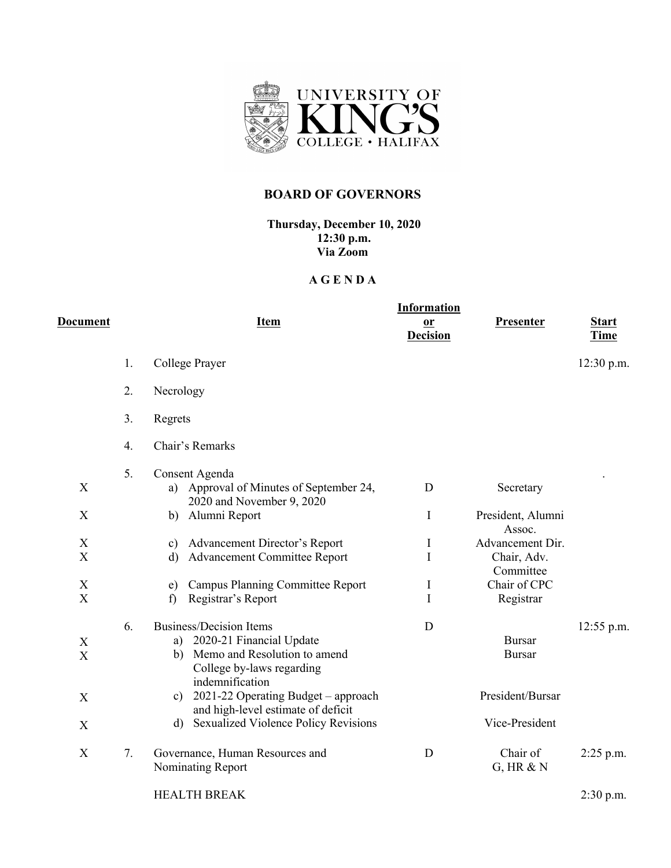

## **BOARD OF GOVERNORS**

**Thursday, December 10, 2020 12:30 p.m. Via Zoom**

## **A G E N D A**

| D <u>ocument</u>                                       |    | <b>Item</b>                                                                                                                                      | <b>Information</b><br>$\mathbf{r}$<br><b>Decision</b> | Presenter                                    | <b>Start</b><br><b>Time</b> |
|--------------------------------------------------------|----|--------------------------------------------------------------------------------------------------------------------------------------------------|-------------------------------------------------------|----------------------------------------------|-----------------------------|
|                                                        | 1. | College Prayer                                                                                                                                   |                                                       |                                              | $12:30$ p.m.                |
|                                                        | 2. | Necrology                                                                                                                                        |                                                       |                                              |                             |
|                                                        | 3. | Regrets                                                                                                                                          |                                                       |                                              |                             |
|                                                        | 4. | Chair's Remarks                                                                                                                                  |                                                       |                                              |                             |
| X<br>X                                                 | 5. | Consent Agenda<br>a) Approval of Minutes of September 24,<br>2020 and November 9, 2020                                                           | D                                                     | Secretary                                    |                             |
|                                                        |    | Alumni Report<br>b)                                                                                                                              | I                                                     | President, Alumni<br>Assoc.                  |                             |
| X<br>$\boldsymbol{\mathrm{X}}$                         |    | c) Advancement Director's Report<br><b>Advancement Committee Report</b><br>d)                                                                    | I<br>I                                                | Advancement Dir.<br>Chair, Adv.<br>Committee |                             |
| $\boldsymbol{\mathrm{X}}$<br>$\boldsymbol{\mathrm{X}}$ |    | <b>Campus Planning Committee Report</b><br>e)<br>Registrar's Report<br>f)                                                                        | I<br>I                                                | Chair of CPC<br>Registrar                    |                             |
| $\mathbf X$<br>X                                       | 6. | <b>Business/Decision Items</b><br>a) 2020-21 Financial Update<br>b) Memo and Resolution to amend<br>College by-laws regarding<br>indemnification | D                                                     | <b>Bursar</b><br><b>Bursar</b>               | 12:55 p.m.                  |
| X                                                      |    | 2021-22 Operating Budget - approach<br>$\mathbf{c}$ )<br>and high-level estimate of deficit                                                      |                                                       | President/Bursar                             |                             |
| X                                                      |    | d) Sexualized Violence Policy Revisions                                                                                                          |                                                       | Vice-President                               |                             |
| X                                                      | 7. | Governance, Human Resources and<br>Nominating Report                                                                                             | D                                                     | Chair of<br>$G$ , HR $&N$                    | $2:25$ p.m.                 |
|                                                        |    | <b>HEALTH BREAK</b>                                                                                                                              |                                                       |                                              | $2:30$ p.m.                 |